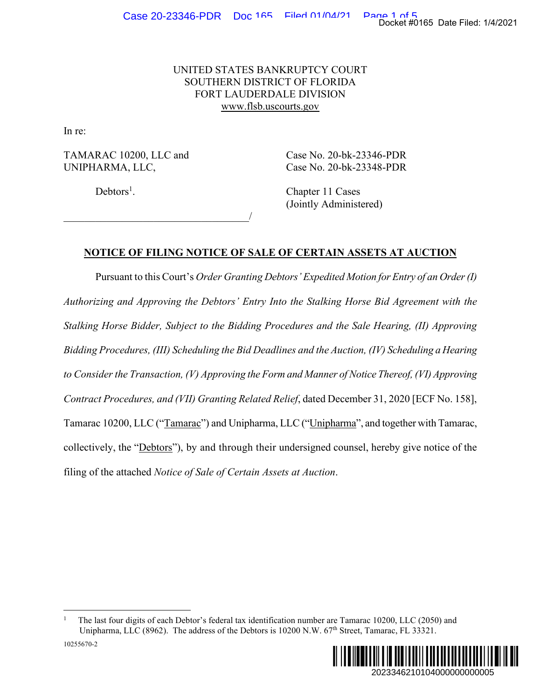## UNITED STATES BANKRUPTCY COURT SOUTHERN DISTRICT OF FLORIDA FORT LAUDERDALE DIVISION www.flsb.uscourts.gov

In re:

TAMARAC 10200, LLC and Case No. 20-bk-23346-PDR UNIPHARMA, LLC, Case No. 20-bk-23348-PDR

 $\overline{\phantom{a}}$ 

 $Debtors<sup>1</sup>$ .

. Chapter 11 Cases (Jointly Administered)

## **NOTICE OF FILING NOTICE OF SALE OF CERTAIN ASSETS AT AUCTION**

Pursuant to this Court's *Order Granting Debtors' Expedited Motion for Entry of an Order (I) Authorizing and Approving the Debtors' Entry Into the Stalking Horse Bid Agreement with the Stalking Horse Bidder, Subject to the Bidding Procedures and the Sale Hearing, (II) Approving Bidding Procedures, (III) Scheduling the Bid Deadlines and the Auction, (IV) Scheduling a Hearing to Consider the Transaction, (V) Approving the Form and Manner of Notice Thereof, (VI) Approving Contract Procedures, and (VII) Granting Related Relief*, dated December 31, 2020 [ECF No. 158], Tamarac 10200, LLC ("Tamarac") and Unipharma, LLC ("Unipharma", and together with Tamarac, collectively, the "Debtors"), by and through their undersigned counsel, hereby give notice of the filing of the attached *Notice of Sale of Certain Assets at Auction*. Docket #0165 Date Filed: 1/4/2021<br>
46-PDR<br>
48-PDR<br>
2d)<br>
2D TIS AT AUCTION<br> *nfor Entry of an Order (I)*<br> *Bid Agreement with the*<br> *Hearing, (II) Approving*<br> *TV) Scheduling a Hearing*<br> *P Thereof, (VI) Approving*<br>
31, 202

<sup>1</sup> The last four digits of each Debtor's federal tax identification number are Tamarac 10200, LLC (2050) and Unipharma, LLC (8962). The address of the Debtors is 10200 N.W. 67<sup>th</sup> Street, Tamarac, FL 33321.

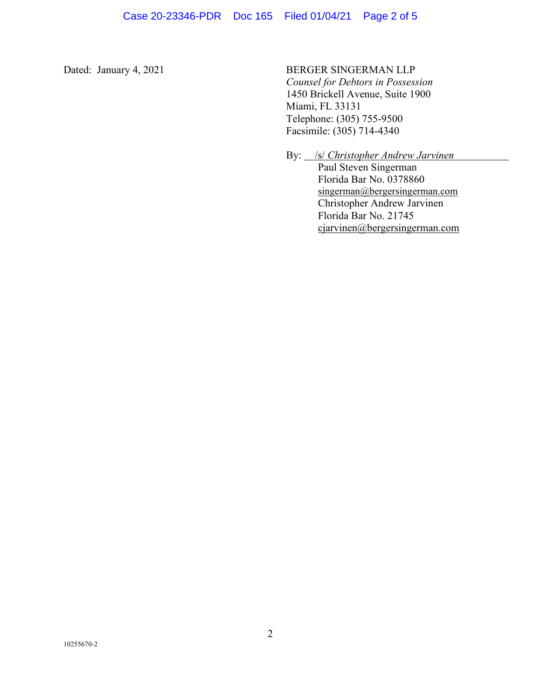Dated: January 4, 2021 BERGER SINGERMAN LLP

 *Counsel for Debtors in Possession*  1450 Brickell Avenue, Suite 1900 Miami, FL 33131 Telephone: (305) 755-9500 Facsimile: (305) 714-4340

By: *<u>/s/ <i>Christopher Andrew Jarvinen*</u> Paul Steven Singerman Florida Bar No. 0378860 singerman@bergersingerman.com Christopher Andrew Jarvinen Florida Bar No. 21745 cjarvinen@bergersingerman.com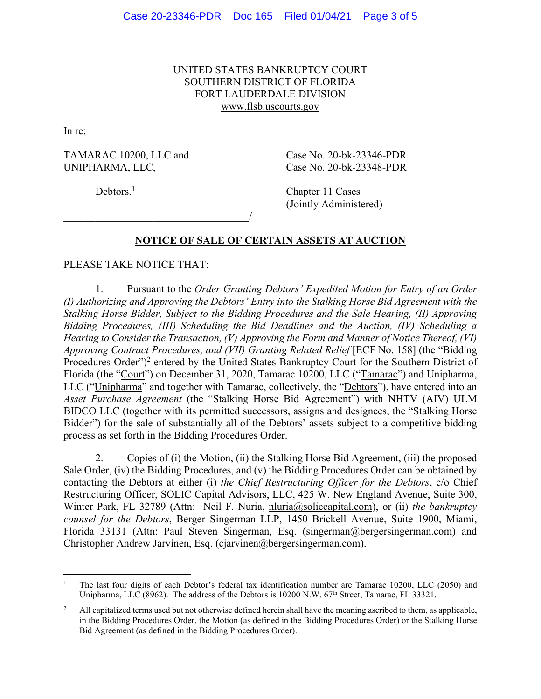UNITED STATES BANKRUPTCY COURT SOUTHERN DISTRICT OF FLORIDA FORT LAUDERDALE DIVISION www.flsb.uscourts.gov

In re:

TAMARAC 10200, LLC and Case No. 20-bk-23346-PDR UNIPHARMA, LLC, Case No. 20-bk-23348-PDR

Debtors.<sup>1</sup>

 Chapter 11 Cases (Jointly Administered)

## **NOTICE OF SALE OF CERTAIN ASSETS AT AUCTION**

PLEASE TAKE NOTICE THAT:

 $\overline{\phantom{a}}$ 

1. Pursuant to the *Order Granting Debtors' Expedited Motion for Entry of an Order (I) Authorizing and Approving the Debtors' Entry into the Stalking Horse Bid Agreement with the Stalking Horse Bidder, Subject to the Bidding Procedures and the Sale Hearing, (II) Approving Bidding Procedures, (III) Scheduling the Bid Deadlines and the Auction, (IV) Scheduling a Hearing to Consider the Transaction, (V) Approving the Form and Manner of Notice Thereof, (VI) Approving Contract Procedures, and (VII) Granting Related Relief* [ECF No. 158] (the "Bidding Procedures Order")<sup>2</sup> entered by the United States Bankruptcy Court for the Southern District of Florida (the "Court") on December 31, 2020, Tamarac 10200, LLC ("Tamarac") and Unipharma, LLC ("Unipharma" and together with Tamarac, collectively, the "Debtors"), have entered into an *Asset Purchase Agreement* (the "Stalking Horse Bid Agreement") with NHTV (AIV) ULM BIDCO LLC (together with its permitted successors, assigns and designees, the "Stalking Horse Bidder") for the sale of substantially all of the Debtors' assets subject to a competitive bidding process as set forth in the Bidding Procedures Order.

2. Copies of (i) the Motion, (ii) the Stalking Horse Bid Agreement, (iii) the proposed Sale Order, (iv) the Bidding Procedures, and (v) the Bidding Procedures Order can be obtained by contacting the Debtors at either (i) *the Chief Restructuring Officer for the Debtors*, c/o Chief Restructuring Officer, SOLIC Capital Advisors, LLC, 425 W. New England Avenue, Suite 300, Winter Park, FL 32789 (Attn: Neil F. Nuria, nluria@soliccapital.com), or (ii) *the bankruptcy counsel for the Debtors*, Berger Singerman LLP, 1450 Brickell Avenue, Suite 1900, Miami, Florida 33131 (Attn: Paul Steven Singerman, Esq. (singerman@bergersingerman.com) and Christopher Andrew Jarvinen, Esq. (cjarvinen@bergersingerman.com).

<sup>1</sup> The last four digits of each Debtor's federal tax identification number are Tamarac 10200, LLC (2050) and Unipharma, LLC (8962). The address of the Debtors is 10200 N.W. 67<sup>th</sup> Street, Tamarac, FL 33321.

<sup>2</sup> All capitalized terms used but not otherwise defined herein shall have the meaning ascribed to them, as applicable, in the Bidding Procedures Order, the Motion (as defined in the Bidding Procedures Order) or the Stalking Horse Bid Agreement (as defined in the Bidding Procedures Order).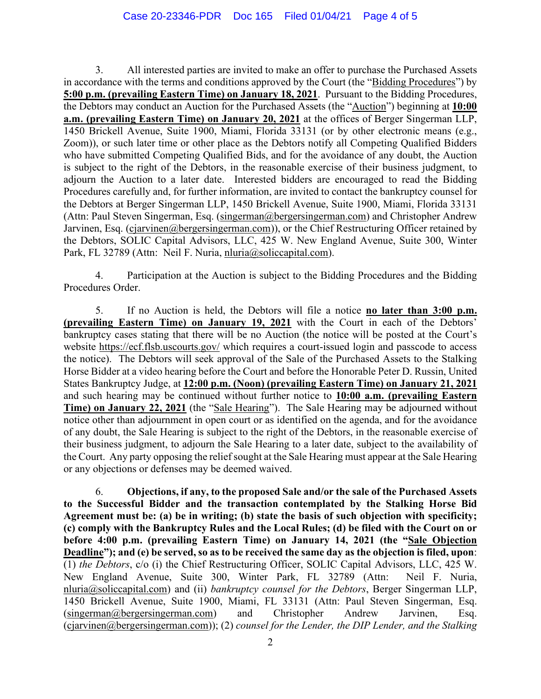3. All interested parties are invited to make an offer to purchase the Purchased Assets in accordance with the terms and conditions approved by the Court (the "Bidding Procedures") by **5:00 p.m. (prevailing Eastern Time) on January 18, 2021**. Pursuant to the Bidding Procedures, the Debtors may conduct an Auction for the Purchased Assets (the "Auction") beginning at **10:00 a.m. (prevailing Eastern Time) on January 20, 2021** at the offices of Berger Singerman LLP, 1450 Brickell Avenue, Suite 1900, Miami, Florida 33131 (or by other electronic means (e.g., Zoom)), or such later time or other place as the Debtors notify all Competing Qualified Bidders who have submitted Competing Qualified Bids, and for the avoidance of any doubt, the Auction is subject to the right of the Debtors, in the reasonable exercise of their business judgment, to adjourn the Auction to a later date. Interested bidders are encouraged to read the Bidding Procedures carefully and, for further information, are invited to contact the bankruptcy counsel for the Debtors at Berger Singerman LLP, 1450 Brickell Avenue, Suite 1900, Miami, Florida 33131 (Attn: Paul Steven Singerman, Esq. (singerman@bergersingerman.com) and Christopher Andrew Jarvinen, Esq. (cjarvinen@bergersingerman.com)), or the Chief Restructuring Officer retained by the Debtors, SOLIC Capital Advisors, LLC, 425 W. New England Avenue, Suite 300, Winter Park, FL 32789 (Attn: Neil F. Nuria, nluria@soliccapital.com).

4. Participation at the Auction is subject to the Bidding Procedures and the Bidding Procedures Order.

5. If no Auction is held, the Debtors will file a notice **no later than 3:00 p.m. (prevailing Eastern Time) on January 19, 2021** with the Court in each of the Debtors' bankruptcy cases stating that there will be no Auction (the notice will be posted at the Court's website https://ecf.flsb.uscourts.gov/ which requires a court-issued login and passcode to access the notice). The Debtors will seek approval of the Sale of the Purchased Assets to the Stalking Horse Bidder at a video hearing before the Court and before the Honorable Peter D. Russin, United States Bankruptcy Judge, at **12:00 p.m. (Noon) (prevailing Eastern Time) on January 21, 2021** and such hearing may be continued without further notice to **10:00 a.m. (prevailing Eastern Time) on January 22, 2021** (the "Sale Hearing"). The Sale Hearing may be adjourned without notice other than adjournment in open court or as identified on the agenda, and for the avoidance of any doubt, the Sale Hearing is subject to the right of the Debtors, in the reasonable exercise of their business judgment, to adjourn the Sale Hearing to a later date, subject to the availability of the Court. Any party opposing the relief sought at the Sale Hearing must appear at the Sale Hearing or any objections or defenses may be deemed waived.

6. **Objections, if any, to the proposed Sale and/or the sale of the Purchased Assets to the Successful Bidder and the transaction contemplated by the Stalking Horse Bid Agreement must be: (a) be in writing; (b) state the basis of such objection with specificity; (c) comply with the Bankruptcy Rules and the Local Rules; (d) be filed with the Court on or before 4:00 p.m. (prevailing Eastern Time) on January 14, 2021 (the "Sale Objection Deadline"); and (e) be served, so as to be received the same day as the objection is filed, upon**: (1) *the Debtors*, c/o (i) the Chief Restructuring Officer, SOLIC Capital Advisors, LLC, 425 W. New England Avenue, Suite 300, Winter Park, FL 32789 (Attn: Neil F. Nuria, nluria@soliccapital.com) and (ii) *bankruptcy counsel for the Debtors*, Berger Singerman LLP, 1450 Brickell Avenue, Suite 1900, Miami, FL 33131 (Attn: Paul Steven Singerman, Esq. (singerman@bergersingerman.com) and Christopher Andrew Jarvinen, Esq. (cjarvinen@bergersingerman.com)); (2) *counsel for the Lender, the DIP Lender, and the Stalking*